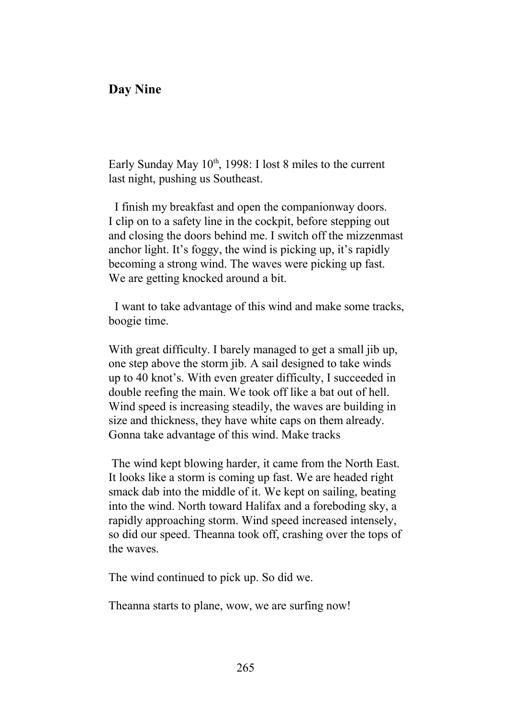## **Day Nine**

Early Sunday May 10<sup>th</sup>, 1998: I lost 8 miles to the current last night, pushing us Southeast.

 I finish my breakfast and open the companionway doors. I clip on to a safety line in the cockpit, before stepping out and closing the doors behind me. I switch off the mizzenmast anchor light. It's foggy, the wind is picking up, it's rapidly becoming a strong wind. The waves were picking up fast. We are getting knocked around a bit.

 I want to take advantage of this wind and make some tracks, boogie time.

With great difficulty. I barely managed to get a small jib up, one step above the storm jib. A sail designed to take winds up to 40 knot's. With even greater difficulty, I succeeded in double reefing the main. We took off like a bat out of hell. Wind speed is increasing steadily, the waves are building in size and thickness, they have white caps on them already. Gonna take advantage of this wind. Make tracks

 The wind kept blowing harder, it came from the North East. It looks like a storm is coming up fast. We are headed right smack dab into the middle of it. We kept on sailing, beating into the wind. North toward Halifax and a foreboding sky, a rapidly approaching storm. Wind speed increased intensely, so did our speed. Theanna took off, crashing over the tops of the waves.

The wind continued to pick up. So did we.

Theanna starts to plane, wow, we are surfing now!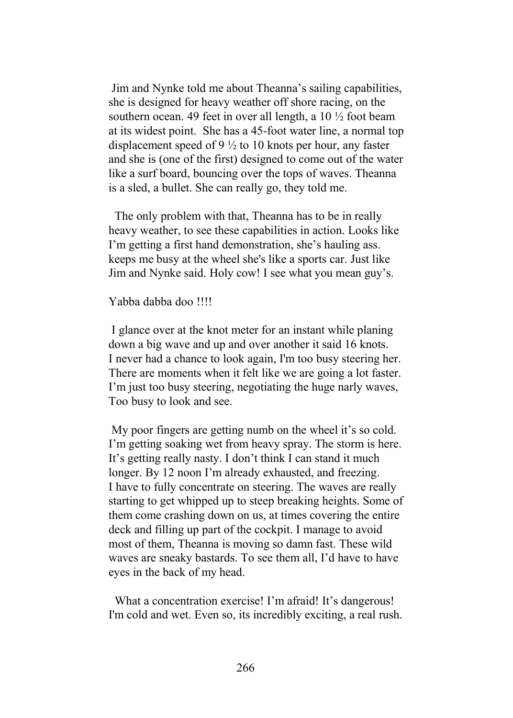Jim and Nynke told me about Theanna's sailing capabilities, she is designed for heavy weather off shore racing, on the southern ocean. 49 feet in over all length, a 10  $\frac{1}{2}$  foot beam at its widest point. She has a 45-foot water line, a normal top displacement speed of 9 ½ to 10 knots per hour, any faster and she is (one of the first) designed to come out of the water like a surf board, bouncing over the tops of waves. Theanna is a sled, a bullet. She can really go, they told me.

 The only problem with that, Theanna has to be in really heavy weather, to see these capabilities in action. Looks like I'm getting a first hand demonstration, she's hauling ass. keeps me busy at the wheel she's like a sports car. Just like Jim and Nynke said. Holy cow! I see what you mean guy's.

## Yabba dabba doo !!!!

 I glance over at the knot meter for an instant while planing down a big wave and up and over another it said 16 knots. I never had a chance to look again, I'm too busy steering her. There are moments when it felt like we are going a lot faster. I'm just too busy steering, negotiating the huge narly waves, Too busy to look and see.

 My poor fingers are getting numb on the wheel it's so cold. I'm getting soaking wet from heavy spray. The storm is here. It's getting really nasty. I don't think I can stand it much longer. By 12 noon I'm already exhausted, and freezing. I have to fully concentrate on steering. The waves are really starting to get whipped up to steep breaking heights. Some of them come crashing down on us, at times covering the entire deck and filling up part of the cockpit. I manage to avoid most of them, Theanna is moving so damn fast. These wild waves are sneaky bastards. To see them all, I'd have to have eyes in the back of my head.

What a concentration exercise! I'm afraid! It's dangerous! I'm cold and wet. Even so, its incredibly exciting, a real rush.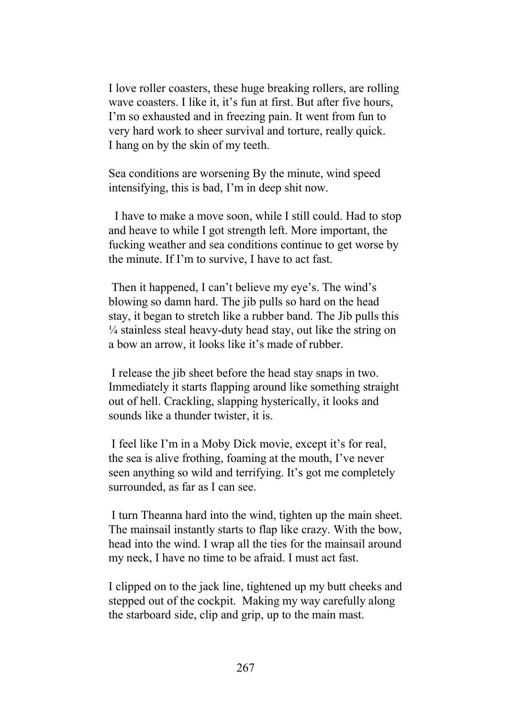I love roller coasters, these huge breaking rollers, are rolling wave coasters. I like it, it's fun at first. But after five hours, I'm so exhausted and in freezing pain. It went from fun to very hard work to sheer survival and torture, really quick. I hang on by the skin of my teeth.

Sea conditions are worsening By the minute, wind speed intensifying, this is bad, I'm in deep shit now.

 I have to make a move soon, while I still could. Had to stop and heave to while I got strength left. More important, the fucking weather and sea conditions continue to get worse by the minute. If I'm to survive, I have to act fast.

 Then it happened, I can't believe my eye's. The wind's blowing so damn hard. The jib pulls so hard on the head stay, it began to stretch like a rubber band. The Jib pulls this  $\frac{1}{4}$  stainless steal heavy-duty head stay, out like the string on a bow an arrow, it looks like it's made of rubber.

 I release the jib sheet before the head stay snaps in two. Immediately it starts flapping around like something straight out of hell. Crackling, slapping hysterically, it looks and sounds like a thunder twister, it is.

 I feel like I'm in a Moby Dick movie, except it's for real, the sea is alive frothing, foaming at the mouth, I've never seen anything so wild and terrifying. It's got me completely surrounded, as far as I can see.

 I turn Theanna hard into the wind, tighten up the main sheet. The mainsail instantly starts to flap like crazy. With the bow, head into the wind. I wrap all the ties for the mainsail around my neck, I have no time to be afraid. I must act fast.

I clipped on to the jack line, tightened up my butt cheeks and stepped out of the cockpit. Making my way carefully along the starboard side, clip and grip, up to the main mast.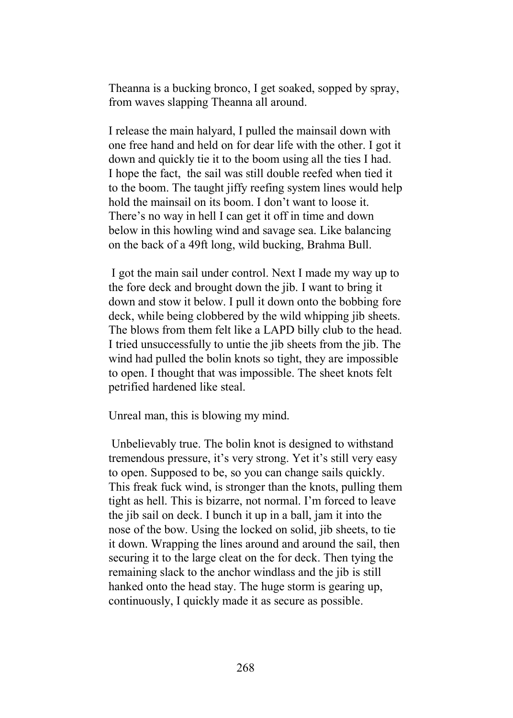Theanna is a bucking bronco, I get soaked, sopped by spray, from waves slapping Theanna all around.

I release the main halyard, I pulled the mainsail down with one free hand and held on for dear life with the other. I got it down and quickly tie it to the boom using all the ties I had. I hope the fact, the sail was still double reefed when tied it to the boom. The taught jiffy reefing system lines would help hold the mainsail on its boom. I don't want to loose it. There's no way in hell I can get it off in time and down below in this howling wind and savage sea. Like balancing on the back of a 49ft long, wild bucking, Brahma Bull.

 I got the main sail under control. Next I made my way up to the fore deck and brought down the jib. I want to bring it down and stow it below. I pull it down onto the bobbing fore deck, while being clobbered by the wild whipping jib sheets. The blows from them felt like a LAPD billy club to the head. I tried unsuccessfully to untie the jib sheets from the jib. The wind had pulled the bolin knots so tight, they are impossible to open. I thought that was impossible. The sheet knots felt petrified hardened like steal.

Unreal man, this is blowing my mind.

 Unbelievably true. The bolin knot is designed to withstand tremendous pressure, it's very strong. Yet it's still very easy to open. Supposed to be, so you can change sails quickly. This freak fuck wind, is stronger than the knots, pulling them tight as hell. This is bizarre, not normal. I'm forced to leave the jib sail on deck. I bunch it up in a ball, jam it into the nose of the bow. Using the locked on solid, jib sheets, to tie it down. Wrapping the lines around and around the sail, then securing it to the large cleat on the for deck. Then tying the remaining slack to the anchor windlass and the jib is still hanked onto the head stay. The huge storm is gearing up, continuously, I quickly made it as secure as possible.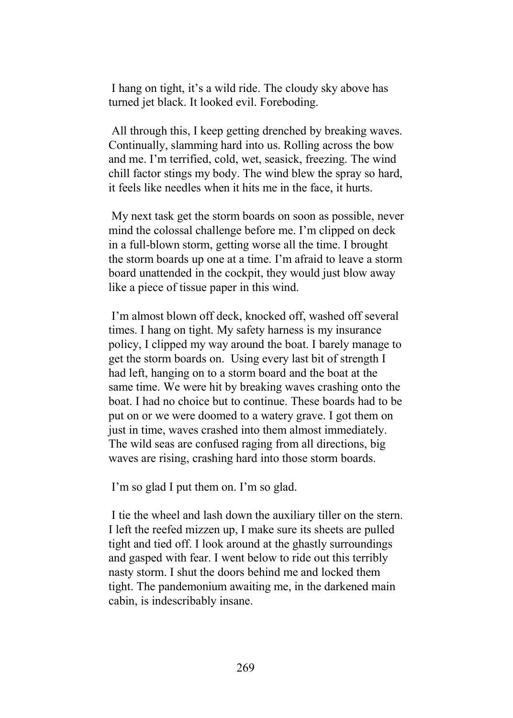I hang on tight, it's a wild ride. The cloudy sky above has turned jet black. It looked evil. Foreboding.

 All through this, I keep getting drenched by breaking waves. Continually, slamming hard into us. Rolling across the bow and me. I'm terrified, cold, wet, seasick, freezing. The wind chill factor stings my body. The wind blew the spray so hard, it feels like needles when it hits me in the face, it hurts.

 My next task get the storm boards on soon as possible, never mind the colossal challenge before me. I'm clipped on deck in a full-blown storm, getting worse all the time. I brought the storm boards up one at a time. I'm afraid to leave a storm board unattended in the cockpit, they would just blow away like a piece of tissue paper in this wind.

 I'm almost blown off deck, knocked off, washed off several times. I hang on tight. My safety harness is my insurance policy, I clipped my way around the boat. I barely manage to get the storm boards on. Using every last bit of strength I had left, hanging on to a storm board and the boat at the same time. We were hit by breaking waves crashing onto the boat. I had no choice but to continue. These boards had to be put on or we were doomed to a watery grave. I got them on just in time, waves crashed into them almost immediately. The wild seas are confused raging from all directions, big waves are rising, crashing hard into those storm boards.

I'm so glad I put them on. I'm so glad.

 I tie the wheel and lash down the auxiliary tiller on the stern. I left the reefed mizzen up, I make sure its sheets are pulled tight and tied off. I look around at the ghastly surroundings and gasped with fear. I went below to ride out this terribly nasty storm. I shut the doors behind me and locked them tight. The pandemonium awaiting me, in the darkened main cabin, is indescribably insane.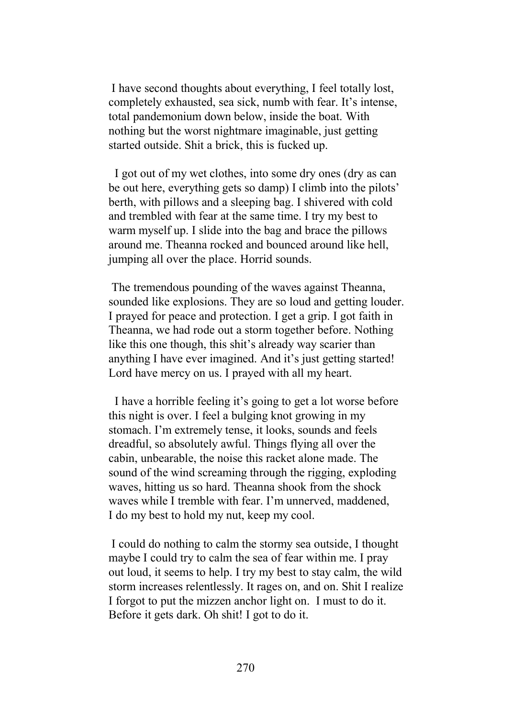I have second thoughts about everything, I feel totally lost, completely exhausted, sea sick, numb with fear. It's intense, total pandemonium down below, inside the boat. With nothing but the worst nightmare imaginable, just getting started outside. Shit a brick, this is fucked up.

 I got out of my wet clothes, into some dry ones (dry as can be out here, everything gets so damp) I climb into the pilots' berth, with pillows and a sleeping bag. I shivered with cold and trembled with fear at the same time. I try my best to warm myself up. I slide into the bag and brace the pillows around me. Theanna rocked and bounced around like hell, jumping all over the place. Horrid sounds.

 The tremendous pounding of the waves against Theanna, sounded like explosions. They are so loud and getting louder. I prayed for peace and protection. I get a grip. I got faith in Theanna, we had rode out a storm together before. Nothing like this one though, this shit's already way scarier than anything I have ever imagined. And it's just getting started! Lord have mercy on us. I prayed with all my heart.

 I have a horrible feeling it's going to get a lot worse before this night is over. I feel a bulging knot growing in my stomach. I'm extremely tense, it looks, sounds and feels dreadful, so absolutely awful. Things flying all over the cabin, unbearable, the noise this racket alone made. The sound of the wind screaming through the rigging, exploding waves, hitting us so hard. Theanna shook from the shock waves while I tremble with fear. I'm unnerved, maddened, I do my best to hold my nut, keep my cool.

 I could do nothing to calm the stormy sea outside, I thought maybe I could try to calm the sea of fear within me. I pray out loud, it seems to help. I try my best to stay calm, the wild storm increases relentlessly. It rages on, and on. Shit I realize I forgot to put the mizzen anchor light on. I must to do it. Before it gets dark. Oh shit! I got to do it.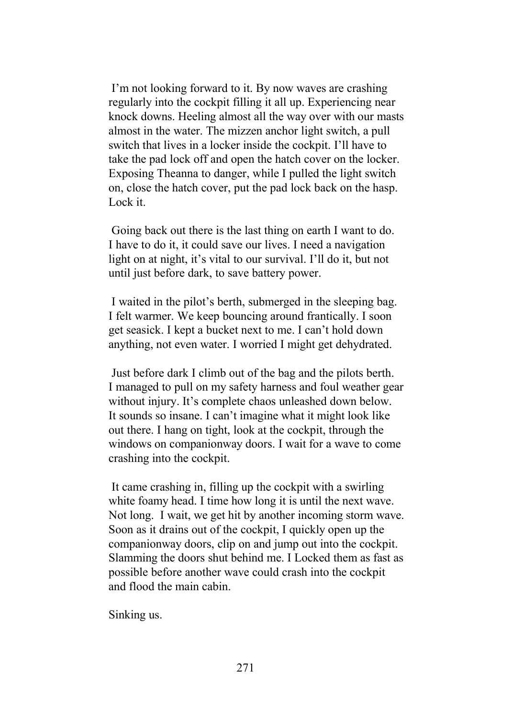I'm not looking forward to it. By now waves are crashing regularly into the cockpit filling it all up. Experiencing near knock downs. Heeling almost all the way over with our masts almost in the water. The mizzen anchor light switch, a pull switch that lives in a locker inside the cockpit. I'll have to take the pad lock off and open the hatch cover on the locker. Exposing Theanna to danger, while I pulled the light switch on, close the hatch cover, put the pad lock back on the hasp. Lock it.

 Going back out there is the last thing on earth I want to do. I have to do it, it could save our lives. I need a navigation light on at night, it's vital to our survival. I'll do it, but not until just before dark, to save battery power.

 I waited in the pilot's berth, submerged in the sleeping bag. I felt warmer. We keep bouncing around frantically. I soon get seasick. I kept a bucket next to me. I can't hold down anything, not even water. I worried I might get dehydrated.

 Just before dark I climb out of the bag and the pilots berth. I managed to pull on my safety harness and foul weather gear without injury. It's complete chaos unleashed down below. It sounds so insane. I can't imagine what it might look like out there. I hang on tight, look at the cockpit, through the windows on companionway doors. I wait for a wave to come crashing into the cockpit.

 It came crashing in, filling up the cockpit with a swirling white foamy head. I time how long it is until the next wave. Not long. I wait, we get hit by another incoming storm wave. Soon as it drains out of the cockpit, I quickly open up the companionway doors, clip on and jump out into the cockpit. Slamming the doors shut behind me. I Locked them as fast as possible before another wave could crash into the cockpit and flood the main cabin.

Sinking us.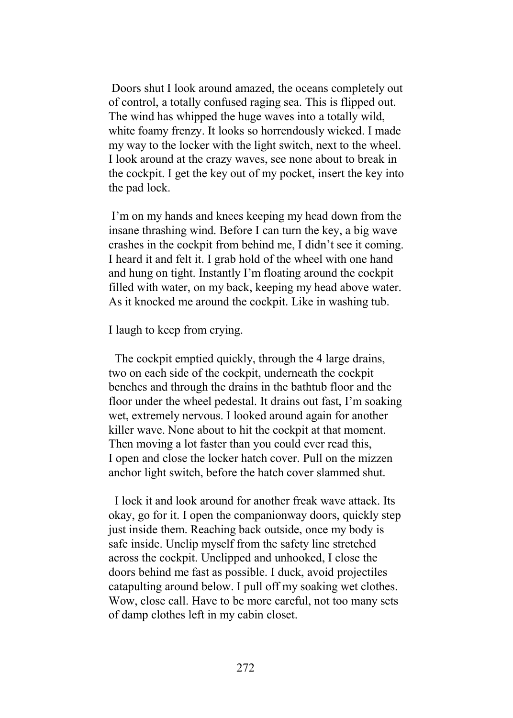Doors shut I look around amazed, the oceans completely out of control, a totally confused raging sea. This is flipped out. The wind has whipped the huge waves into a totally wild, white foamy frenzy. It looks so horrendously wicked. I made my way to the locker with the light switch, next to the wheel. I look around at the crazy waves, see none about to break in the cockpit. I get the key out of my pocket, insert the key into the pad lock.

 I'm on my hands and knees keeping my head down from the insane thrashing wind. Before I can turn the key, a big wave crashes in the cockpit from behind me, I didn't see it coming. I heard it and felt it. I grab hold of the wheel with one hand and hung on tight. Instantly I'm floating around the cockpit filled with water, on my back, keeping my head above water. As it knocked me around the cockpit. Like in washing tub.

I laugh to keep from crying.

 The cockpit emptied quickly, through the 4 large drains, two on each side of the cockpit, underneath the cockpit benches and through the drains in the bathtub floor and the floor under the wheel pedestal. It drains out fast, I'm soaking wet, extremely nervous. I looked around again for another killer wave. None about to hit the cockpit at that moment. Then moving a lot faster than you could ever read this, I open and close the locker hatch cover. Pull on the mizzen anchor light switch, before the hatch cover slammed shut.

 I lock it and look around for another freak wave attack. Its okay, go for it. I open the companionway doors, quickly step just inside them. Reaching back outside, once my body is safe inside. Unclip myself from the safety line stretched across the cockpit. Unclipped and unhooked, I close the doors behind me fast as possible. I duck, avoid projectiles catapulting around below. I pull off my soaking wet clothes. Wow, close call. Have to be more careful, not too many sets of damp clothes left in my cabin closet.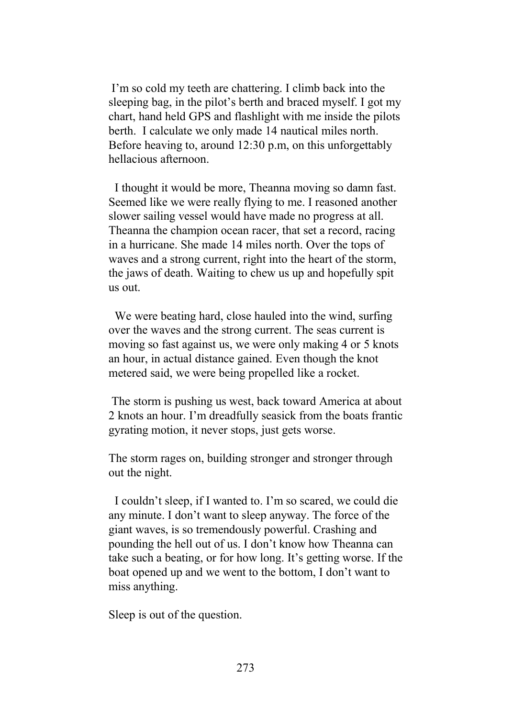I'm so cold my teeth are chattering. I climb back into the sleeping bag, in the pilot's berth and braced myself. I got my chart, hand held GPS and flashlight with me inside the pilots berth. I calculate we only made 14 nautical miles north. Before heaving to, around 12:30 p.m, on this unforgettably hellacious afternoon.

 I thought it would be more, Theanna moving so damn fast. Seemed like we were really flying to me. I reasoned another slower sailing vessel would have made no progress at all. Theanna the champion ocean racer, that set a record, racing in a hurricane. She made 14 miles north. Over the tops of waves and a strong current, right into the heart of the storm, the jaws of death. Waiting to chew us up and hopefully spit us out.

 We were beating hard, close hauled into the wind, surfing over the waves and the strong current. The seas current is moving so fast against us, we were only making 4 or 5 knots an hour, in actual distance gained. Even though the knot metered said, we were being propelled like a rocket.

 The storm is pushing us west, back toward America at about 2 knots an hour. I'm dreadfully seasick from the boats frantic gyrating motion, it never stops, just gets worse.

The storm rages on, building stronger and stronger through out the night.

 I couldn't sleep, if I wanted to. I'm so scared, we could die any minute. I don't want to sleep anyway. The force of the giant waves, is so tremendously powerful. Crashing and pounding the hell out of us. I don't know how Theanna can take such a beating, or for how long. It's getting worse. If the boat opened up and we went to the bottom, I don't want to miss anything.

Sleep is out of the question.